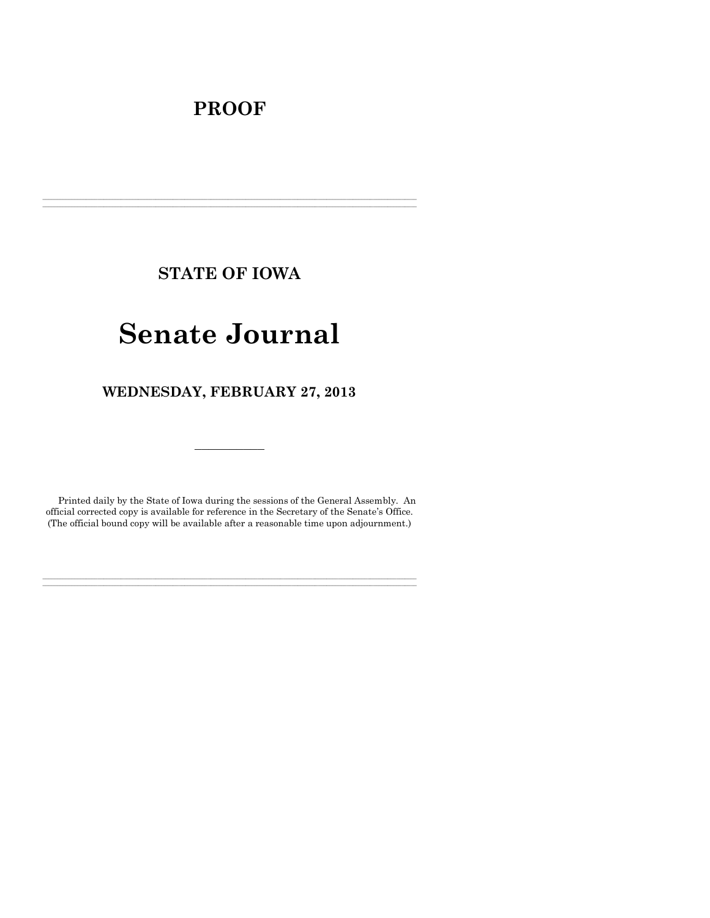# **PROOF**

**STATE OF IOWA**

**\_\_\_\_\_\_\_\_\_\_\_\_\_\_\_\_\_\_\_\_\_\_\_\_\_\_\_\_\_\_\_\_\_\_\_\_\_\_\_\_\_\_\_\_\_\_\_\_\_\_\_\_\_\_\_\_\_\_\_\_\_\_\_\_\_\_\_\_\_\_\_\_\_\_\_\_\_\_\_\_\_\_\_\_\_\_\_\_\_\_\_\_\_\_\_\_\_\_\_\_\_\_\_\_\_\_\_\_\_\_\_\_\_\_\_\_\_\_\_\_\_\_\_\_\_\_\_\_\_**  $\mathcal{L} = \{ \mathcal{L} = \{ \mathcal{L} = \{ \mathcal{L} = \{ \mathcal{L} = \{ \mathcal{L} = \{ \mathcal{L} = \{ \mathcal{L} = \{ \mathcal{L} = \{ \mathcal{L} = \{ \mathcal{L} = \{ \mathcal{L} = \{ \mathcal{L} = \{ \mathcal{L} = \{ \mathcal{L} = \{ \mathcal{L} = \{ \mathcal{L} = \{ \mathcal{L} = \{ \mathcal{L} = \{ \mathcal{L} = \{ \mathcal{L} = \{ \mathcal{L} = \{ \mathcal{L} = \{ \mathcal{L} = \{ \mathcal{$ 

# **Senate Journal**

**WEDNESDAY, FEBRUARY 27, 2013**

Printed daily by the State of Iowa during the sessions of the General Assembly. An official corrected copy is available for reference in the Secretary of the Senate's Office. (The official bound copy will be available after a reasonable time upon adjournment.)

**\_\_\_\_\_\_\_\_\_\_\_\_\_\_\_\_\_\_\_\_\_\_\_\_\_\_\_\_\_\_\_\_\_\_\_\_\_\_\_\_\_\_\_\_\_\_\_\_\_\_\_\_\_\_\_\_\_\_\_\_\_\_\_\_\_\_\_\_\_\_\_\_\_\_\_\_\_\_\_\_\_\_\_\_\_\_\_\_\_\_\_\_\_\_\_\_\_\_\_\_\_\_\_\_\_\_\_\_\_\_\_\_\_\_\_\_\_\_\_\_\_\_\_\_\_\_\_\_\_ \_\_\_\_\_\_\_\_\_\_\_\_\_\_\_\_\_\_\_\_\_\_\_\_\_\_\_\_\_\_\_\_\_\_\_\_\_\_\_\_\_\_\_\_\_\_\_\_\_\_\_\_\_\_\_\_\_\_\_\_\_\_\_\_\_\_\_\_\_\_\_\_\_\_\_\_\_\_\_\_\_\_\_\_\_\_\_\_\_\_\_\_\_\_\_\_\_\_\_\_\_\_\_\_\_\_\_\_\_\_\_\_\_\_\_\_\_\_\_\_\_\_\_\_\_\_\_\_\_**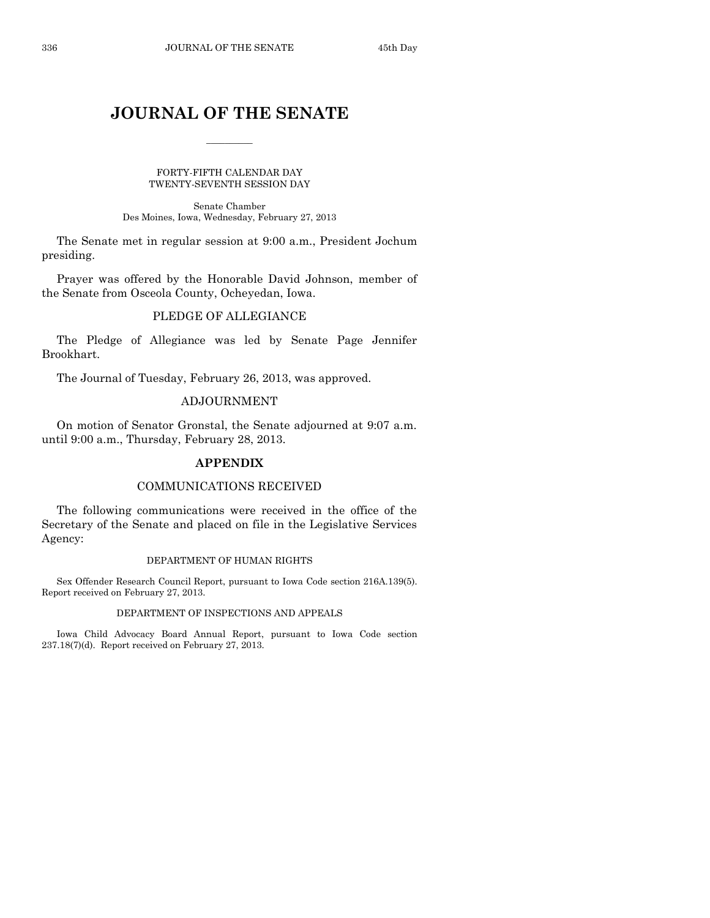# **JOURNAL OF THE SENATE**

 $\overline{\phantom{a}}$ 

FORTY-FIFTH CALENDAR DAY TWENTY-SEVENTH SESSION DAY

Senate Chamber Des Moines, Iowa, Wednesday, February 27, 2013

The Senate met in regular session at 9:00 a.m., President Jochum presiding.

Prayer was offered by the Honorable David Johnson, member of the Senate from Osceola County, Ocheyedan, Iowa.

# PLEDGE OF ALLEGIANCE

The Pledge of Allegiance was led by Senate Page Jennifer Brookhart.

The Journal of Tuesday, February 26, 2013, was approved.

# ADJOURNMENT

On motion of Senator Gronstal, the Senate adjourned at 9:07 a.m. until 9:00 a.m., Thursday, February 28, 2013.

# **APPENDIX**

## COMMUNICATIONS RECEIVED

The following communications were received in the office of the Secretary of the Senate and placed on file in the Legislative Services Agency:

#### DEPARTMENT OF HUMAN RIGHTS

Sex Offender Research Council Report, pursuant to Iowa Code section 216A.139(5). Report received on February 27, 2013.

# DEPARTMENT OF INSPECTIONS AND APPEALS

Iowa Child Advocacy Board Annual Report, pursuant to Iowa Code section 237.18(7)(d). Report received on February 27, 2013.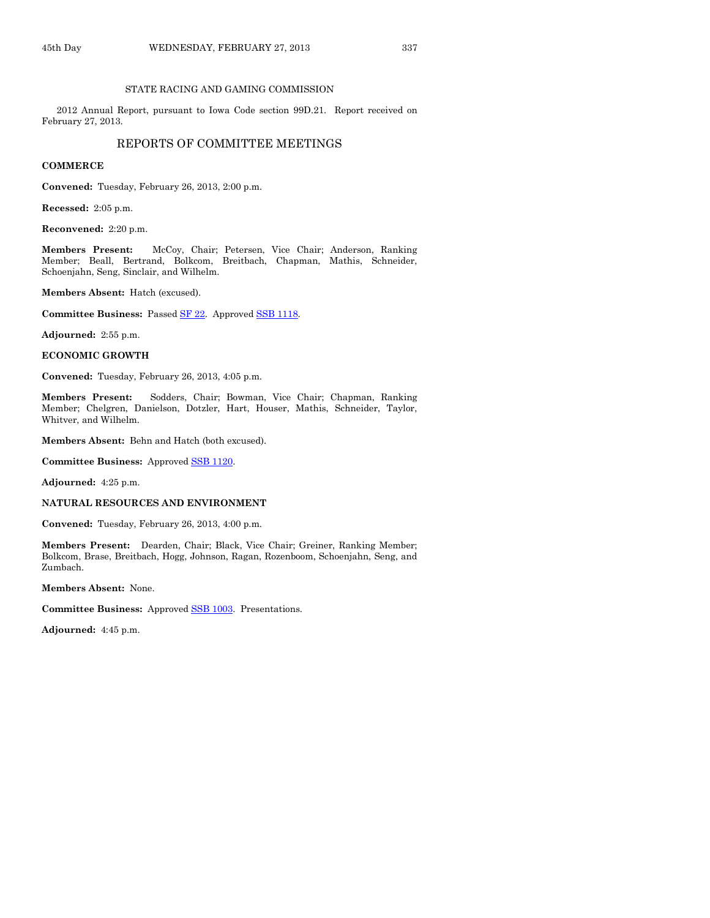#### STATE RACING AND GAMING COMMISSION

2012 Annual Report, pursuant to Iowa Code section 99D.21. Report received on February 27, 2013.

#### REPORTS OF COMMITTEE MEETINGS

#### **COMMERCE**

**Convened:** Tuesday, February 26, 2013, 2:00 p.m.

**Recessed:** 2:05 p.m.

**Reconvened:** 2:20 p.m.

**Members Present:** McCoy, Chair; Petersen, Vice Chair; Anderson, Ranking Member; Beall, Bertrand, Bolkcom, Breitbach, Chapman, Mathis, Schneider, Schoenjahn, Seng, Sinclair, and Wilhelm.

**Members Absent:** Hatch (excused).

Committee Business: Passed **SF 22.** Approved **SSB 1118.** 

**Adjourned:** 2:55 p.m.

#### **ECONOMIC GROWTH**

**Convened:** Tuesday, February 26, 2013, 4:05 p.m.

**Members Present:** Sodders, Chair; Bowman, Vice Chair; Chapman, Ranking Member; Chelgren, Danielson, Dotzler, Hart, Houser, Mathis, Schneider, Taylor, Whitver, and Wilhelm.

**Members Absent:** Behn and Hatch (both excused).

**Committee Business:** Approved [SSB 1120.](http://coolice.legis.state.ia.us/Cool-ICE/default.asp?Category=billinfo&Service=Billbook&frame=1&GA=85&hbill=SSB1120)

**Adjourned:** 4:25 p.m.

#### **NATURAL RESOURCES AND ENVIRONMENT**

**Convened:** Tuesday, February 26, 2013, 4:00 p.m.

**Members Present:** Dearden, Chair; Black, Vice Chair; Greiner, Ranking Member; Bolkcom, Brase, Breitbach, Hogg, Johnson, Ragan, Rozenboom, Schoenjahn, Seng, and Zumbach.

**Members Absent:** None.

**Committee Business:** Approved [SSB 1003.](http://coolice.legis.state.ia.us/Cool-ICE/default.asp?Category=billinfo&Service=Billbook&frame=1&GA=85&hbill=SSB1003) Presentations.

**Adjourned:** 4:45 p.m.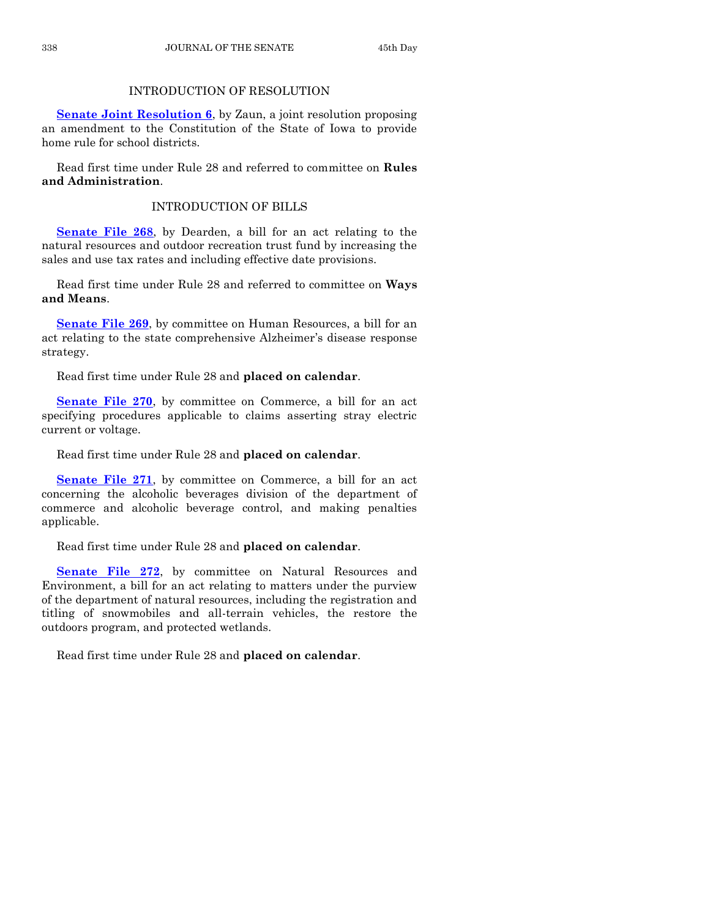# INTRODUCTION OF RESOLUTION

**[Senate Joint Resolution 6](http://coolice.legis.state.ia.us/Cool-ICE/default.asp?Category=billinfo&Service=Billbook&frame=1&GA=85&hbill=SJR6)**, by Zaun, a joint resolution proposing an amendment to the Constitution of the State of Iowa to provide home rule for school districts.

Read first time under Rule 28 and referred to committee on **Rules and Administration**.

# INTRODUCTION OF BILLS

**[Senate File 268](http://coolice.legis.state.ia.us/Cool-ICE/default.asp?Category=billinfo&Service=Billbook&frame=1&GA=85&hbill=SF268)**, by Dearden, a bill for an act relating to the natural resources and outdoor recreation trust fund by increasing the sales and use tax rates and including effective date provisions.

Read first time under Rule 28 and referred to committee on **Ways and Means**.

**[Senate File 269](http://coolice.legis.state.ia.us/Cool-ICE/default.asp?Category=billinfo&Service=Billbook&frame=1&GA=85&hbill=SF269)**, by committee on Human Resources, a bill for an act relating to the state comprehensive Alzheimer's disease response strategy.

Read first time under Rule 28 and **placed on calendar**.

**[Senate File 270](http://coolice.legis.state.ia.us/Cool-ICE/default.asp?Category=billinfo&Service=Billbook&frame=1&GA=85&hbill=SF270)**, by committee on Commerce, a bill for an act specifying procedures applicable to claims asserting stray electric current or voltage.

Read first time under Rule 28 and **placed on calendar**.

**[Senate File 271](http://coolice.legis.state.ia.us/Cool-ICE/default.asp?Category=billinfo&Service=Billbook&frame=1&GA=85&hbill=SF271)**, by committee on Commerce, a bill for an act concerning the alcoholic beverages division of the department of commerce and alcoholic beverage control, and making penalties applicable.

Read first time under Rule 28 and **placed on calendar**.

**[Senate File 272](http://coolice.legis.state.ia.us/Cool-ICE/default.asp?Category=billinfo&Service=Billbook&frame=1&GA=85&hbill=SF272)**, by committee on Natural Resources and Environment, a bill for an act relating to matters under the purview of the department of natural resources, including the registration and titling of snowmobiles and all-terrain vehicles, the restore the outdoors program, and protected wetlands.

Read first time under Rule 28 and **placed on calendar**.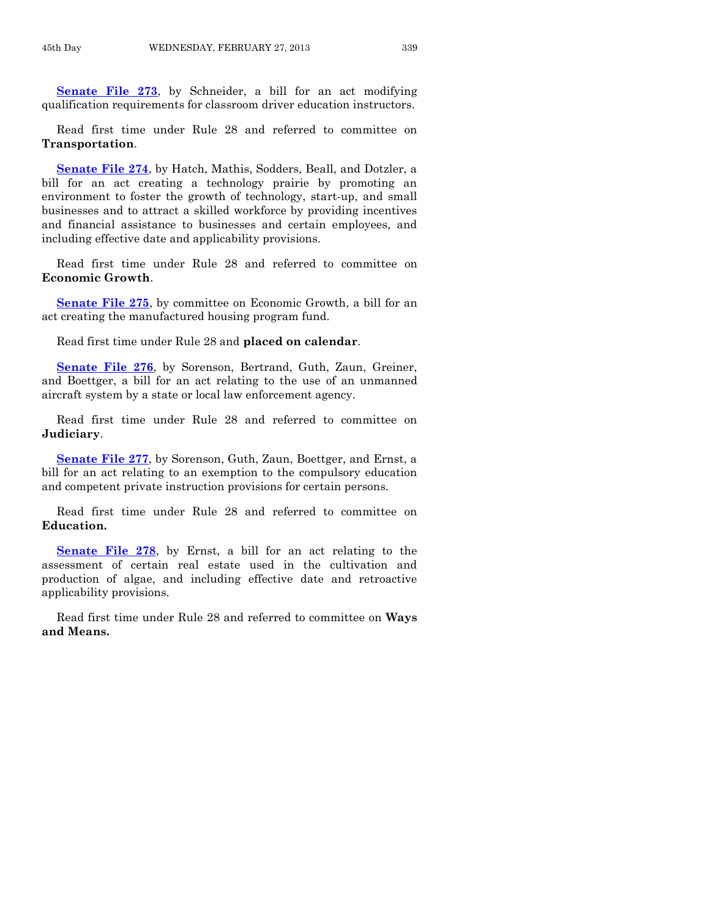**[Senate File 273](http://coolice.legis.state.ia.us/Cool-ICE/default.asp?Category=billinfo&Service=Billbook&frame=1&GA=85&hbill=SF273)**, by Schneider, a bill for an act modifying qualification requirements for classroom driver education instructors.

Read first time under Rule 28 and referred to committee on **Transportation**.

**[Senate File 274](http://coolice.legis.state.ia.us/Cool-ICE/default.asp?Category=billinfo&Service=Billbook&frame=1&GA=85&hbill=SF274)**, by Hatch, Mathis, Sodders, Beall, and Dotzler, a bill for an act creating a technology prairie by promoting an environment to foster the growth of technology, start-up, and small businesses and to attract a skilled workforce by providing incentives and financial assistance to businesses and certain employees, and including effective date and applicability provisions.

Read first time under Rule 28 and referred to committee on **Economic Growth**.

**[Senate File 275](http://coolice.legis.state.ia.us/Cool-ICE/default.asp?Category=billinfo&Service=Billbook&frame=1&GA=85&hbill=SF275)**, by committee on Economic Growth, a bill for an act creating the manufactured housing program fund.

Read first time under Rule 28 and **placed on calendar**.

**[Senate File 276](http://coolice.legis.state.ia.us/Cool-ICE/default.asp?Category=billinfo&Service=Billbook&frame=1&GA=85&hbill=SF276)**, by Sorenson, Bertrand, Guth, Zaun, Greiner, and Boettger, a bill for an act relating to the use of an unmanned aircraft system by a state or local law enforcement agency.

Read first time under Rule 28 and referred to committee on **Judiciary**.

**[Senate File 277](http://coolice.legis.state.ia.us/Cool-ICE/default.asp?Category=billinfo&Service=Billbook&frame=1&GA=85&hbill=SF277)**, by Sorenson, Guth, Zaun, Boettger, and Ernst, a bill for an act relating to an exemption to the compulsory education and competent private instruction provisions for certain persons.

Read first time under Rule 28 and referred to committee on **Education.**

**[Senate File 278](http://coolice.legis.state.ia.us/Cool-ICE/default.asp?Category=billinfo&Service=Billbook&frame=1&GA=85&hbill=SF278)**, by Ernst, a bill for an act relating to the assessment of certain real estate used in the cultivation and production of algae, and including effective date and retroactive applicability provisions.

Read first time under Rule 28 and referred to committee on **Ways and Means.**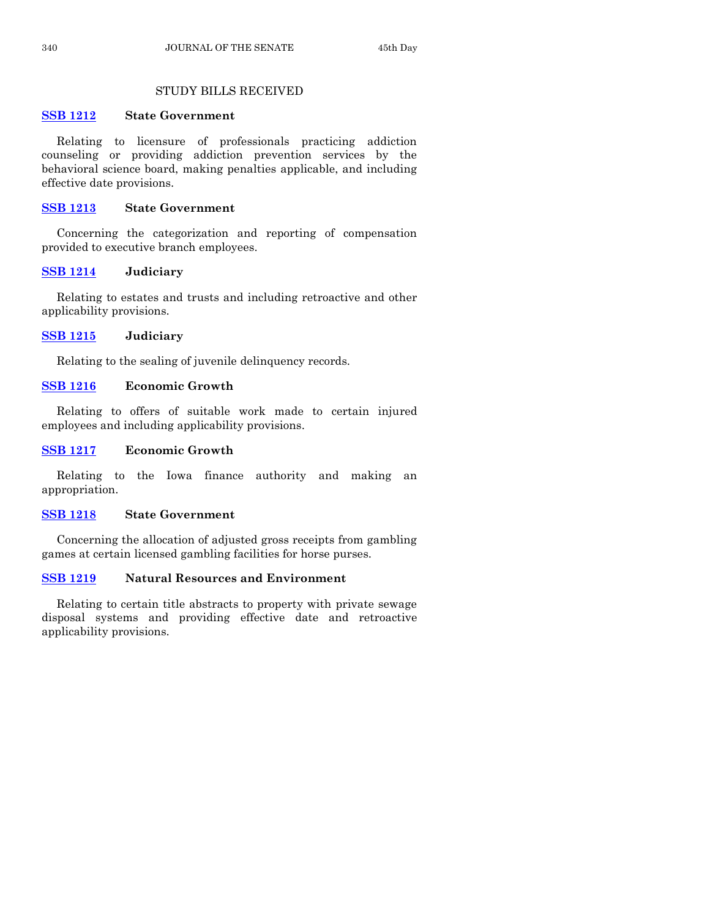# STUDY BILLS RECEIVED

# **[SSB 1212](http://coolice.legis.state.ia.us/Cool-ICE/default.asp?Category=billinfo&Service=Billbook&frame=1&GA=85&hbill=SSB1212) State Government**

Relating to licensure of professionals practicing addiction counseling or providing addiction prevention services by the behavioral science board, making penalties applicable, and including effective date provisions.

# **[SSB 1213](http://coolice.legis.state.ia.us/Cool-ICE/default.asp?Category=billinfo&Service=Billbook&frame=1&GA=85&hbill=SSB1213) State Government**

Concerning the categorization and reporting of compensation provided to executive branch employees.

# **[SSB 1214](http://coolice.legis.state.ia.us/Cool-ICE/default.asp?Category=billinfo&Service=Billbook&frame=1&GA=85&hbill=SSB1214) Judiciary**

Relating to estates and trusts and including retroactive and other applicability provisions.

# **[SSB 1215](http://coolice.legis.state.ia.us/Cool-ICE/default.asp?Category=billinfo&Service=Billbook&frame=1&GA=85&hbill=SSB1215) Judiciary**

Relating to the sealing of juvenile delinquency records.

# **[SSB 1216](http://coolice.legis.state.ia.us/Cool-ICE/default.asp?Category=billinfo&Service=Billbook&frame=1&GA=85&hbill=SSB1216) Economic Growth**

Relating to offers of suitable work made to certain injured employees and including applicability provisions.

# **[SSB 1217](http://coolice.legis.state.ia.us/Cool-ICE/default.asp?Category=billinfo&Service=Billbook&frame=1&GA=85&hbill=SSB1217) Economic Growth**

Relating to the Iowa finance authority and making an appropriation.

# **[SSB 1218](http://coolice.legis.state.ia.us/Cool-ICE/default.asp?Category=billinfo&Service=Billbook&frame=1&GA=85&hbill=SSB1218) State Government**

Concerning the allocation of adjusted gross receipts from gambling games at certain licensed gambling facilities for horse purses.

# **[SSB 1219](http://coolice.legis.state.ia.us/Cool-ICE/default.asp?Category=billinfo&Service=Billbook&frame=1&GA=85&hbill=SSB1219) Natural Resources and Environment**

Relating to certain title abstracts to property with private sewage disposal systems and providing effective date and retroactive applicability provisions.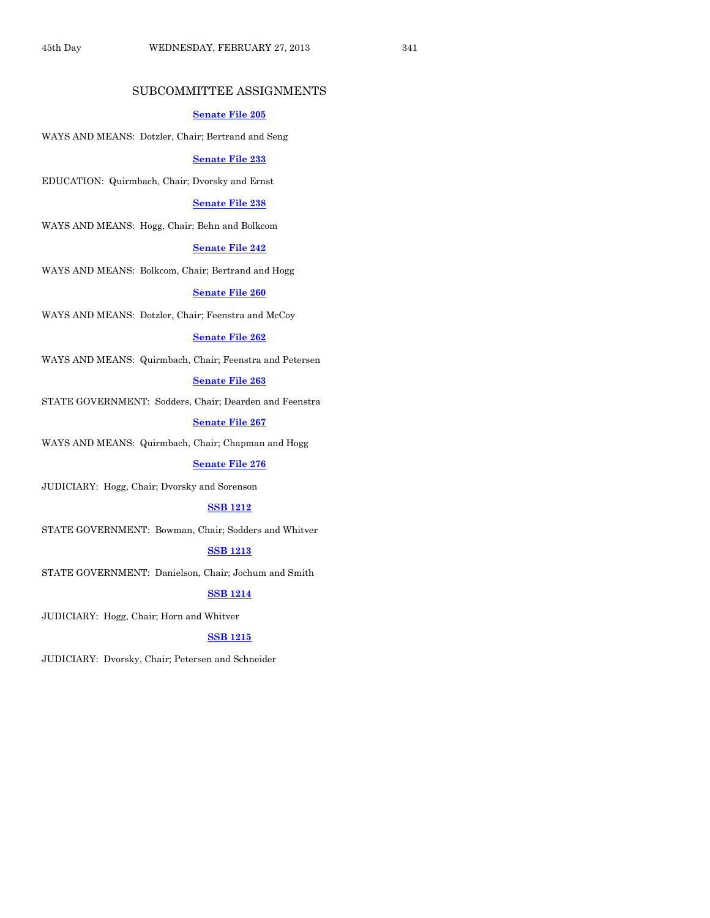# SUBCOMMITTEE ASSIGNMENTS

#### **[Senate File 205](http://coolice.legis.state.ia.us/Cool-ICE/default.asp?Category=billinfo&Service=Billbook&frame=1&GA=85&hbill=SF205)**

WAYS AND MEANS: Dotzler, Chair; Bertrand and Seng

#### **[Senate File 233](http://coolice.legis.state.ia.us/Cool-ICE/default.asp?Category=billinfo&Service=Billbook&frame=1&GA=85&hbill=SF233)**

EDUCATION: Quirmbach, Chair; Dvorsky and Ernst

#### **[Senate File 238](http://coolice.legis.state.ia.us/Cool-ICE/default.asp?Category=billinfo&Service=Billbook&frame=1&GA=85&hbill=SF238)**

WAYS AND MEANS: Hogg, Chair; Behn and Bolkcom

#### **[Senate File 242](http://coolice.legis.state.ia.us/Cool-ICE/default.asp?Category=billinfo&Service=Billbook&frame=1&GA=85&hbill=SF242)**

WAYS AND MEANS: Bolkcom, Chair; Bertrand and Hogg

#### **[Senate File 260](http://coolice.legis.state.ia.us/Cool-ICE/default.asp?Category=billinfo&Service=Billbook&frame=1&GA=85&hbill=SF260)**

WAYS AND MEANS: Dotzler, Chair; Feenstra and McCoy

#### **[Senate File 262](http://coolice.legis.state.ia.us/Cool-ICE/default.asp?Category=billinfo&Service=Billbook&frame=1&GA=85&hbill=SF262)**

WAYS AND MEANS: Quirmbach, Chair; Feenstra and Petersen

## **[Senate File 263](http://coolice.legis.state.ia.us/Cool-ICE/default.asp?Category=billinfo&Service=Billbook&frame=1&GA=85&hbill=SF263)**

STATE GOVERNMENT: Sodders, Chair; Dearden and Feenstra

**[Senate File 267](http://coolice.legis.state.ia.us/Cool-ICE/default.asp?Category=billinfo&Service=Billbook&frame=1&GA=85&hbill=SF267)**

WAYS AND MEANS: Quirmbach, Chair; Chapman and Hogg

#### **[Senate File 276](http://coolice.legis.state.ia.us/Cool-ICE/default.asp?Category=billinfo&Service=Billbook&frame=1&GA=85&hbill=SF276)**

JUDICIARY: Hogg, Chair; Dvorsky and Sorenson

#### **SSB [1212](http://coolice.legis.state.ia.us/Cool-ICE/default.asp?Category=billinfo&Service=Billbook&frame=1&GA=85&hbill=SSB1212)**

STATE GOVERNMENT: Bowman, Chair; Sodders and Whitver

# **SSB [1213](http://coolice.legis.state.ia.us/Cool-ICE/default.asp?Category=billinfo&Service=Billbook&frame=1&GA=85&hbill=SSB1213)**

STATE GOVERNMENT: Danielson, Chair; Jochum and Smith

#### **SSB [1214](http://coolice.legis.state.ia.us/Cool-ICE/default.asp?Category=billinfo&Service=Billbook&frame=1&GA=85&hbill=SSB1214)**

JUDICIARY: Hogg, Chair; Horn and Whitver

#### **SSB [1215](http://coolice.legis.state.ia.us/Cool-ICE/default.asp?Category=billinfo&Service=Billbook&frame=1&GA=85&hbill=SSB1215)**

JUDICIARY: Dvorsky, Chair; Petersen and Schneider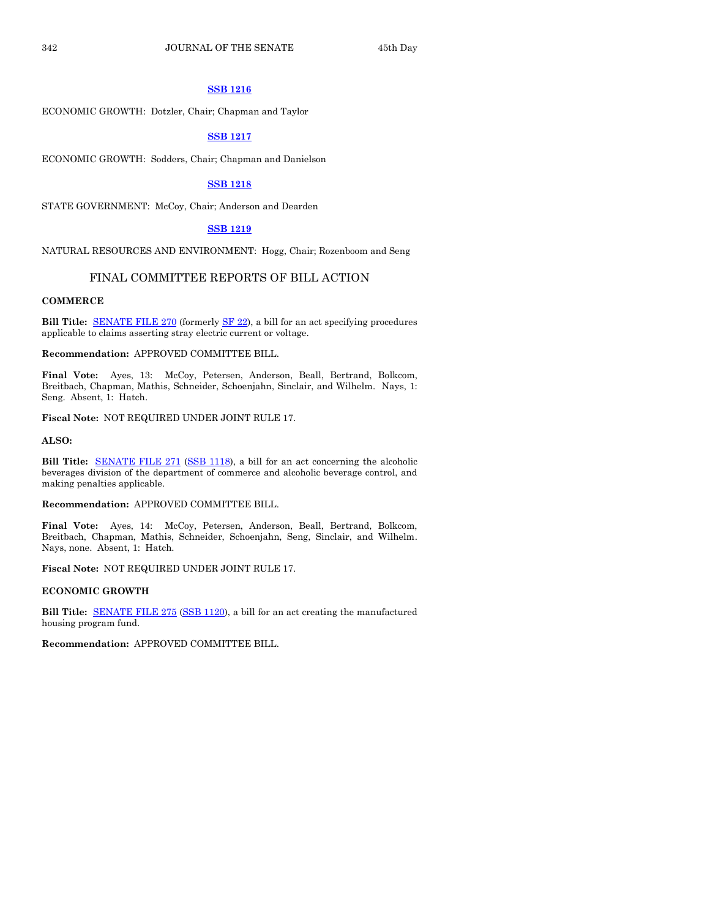## **SSB [1216](http://coolice.legis.state.ia.us/Cool-ICE/default.asp?Category=billinfo&Service=Billbook&frame=1&GA=85&hbill=SSB1216)**

ECONOMIC GROWTH: Dotzler, Chair; Chapman and Taylor

#### **SSB [1217](http://coolice.legis.state.ia.us/Cool-ICE/default.asp?Category=billinfo&Service=Billbook&frame=1&GA=85&hbill=SSB1217)**

ECONOMIC GROWTH: Sodders, Chair; Chapman and Danielson

#### **SSB [1218](http://coolice.legis.state.ia.us/Cool-ICE/default.asp?Category=billinfo&Service=Billbook&frame=1&GA=85&hbill=SSB1218)**

STATE GOVERNMENT: McCoy, Chair; Anderson and Dearden

#### **SSB [1219](http://coolice.legis.state.ia.us/Cool-ICE/default.asp?Category=billinfo&Service=Billbook&frame=1&GA=85&hbill=SSB1219)**

NATURAL RESOURCES AND ENVIRONMENT: Hogg, Chair; Rozenboom and Seng

# FINAL COMMITTEE REPORTS OF BILL ACTION

#### **COMMERCE**

**Bill Title:** [SENATE FILE 270](http://coolice.legis.state.ia.us/Cool-ICE/default.asp?Category=billinfo&Service=Billbook&frame=1&GA=85&hbill=SF270) (formerl[y SF 22\)](http://coolice.legis.state.ia.us/Cool-ICE/default.asp?Category=billinfo&Service=Billbook&frame=1&GA=85&hbill=SF22), a bill for an act specifying procedures applicable to claims asserting stray electric current or voltage.

#### **Recommendation:** APPROVED COMMITTEE BILL.

**Final Vote:** Ayes, 13: McCoy, Petersen, Anderson, Beall, Bertrand, Bolkcom, Breitbach, Chapman, Mathis, Schneider, Schoenjahn, Sinclair, and Wilhelm. Nays, 1: Seng. Absent, 1: Hatch.

**Fiscal Note:** NOT REQUIRED UNDER JOINT RULE 17.

**ALSO:**

**Bill Title:** [SENATE FILE 271](http://coolice.legis.state.ia.us/Cool-ICE/default.asp?Category=billinfo&Service=Billbook&frame=1&GA=85&hbill=SF271) [\(SSB 1118\)](http://coolice.legis.state.ia.us/Cool-ICE/default.asp?Category=billinfo&Service=Billbook&frame=1&GA=85&hbill=SSB1118), a bill for an act concerning the alcoholic beverages division of the department of commerce and alcoholic beverage control, and making penalties applicable.

#### **Recommendation:** APPROVED COMMITTEE BILL.

**Final Vote:** Ayes, 14: McCoy, Petersen, Anderson, Beall, Bertrand, Bolkcom, Breitbach, Chapman, Mathis, Schneider, Schoenjahn, Seng, Sinclair, and Wilhelm. Nays, none. Absent, 1: Hatch.

**Fiscal Note:** NOT REQUIRED UNDER JOINT RULE 17.

#### **ECONOMIC GROWTH**

**Bill Title:** [SENATE FILE 275](http://coolice.legis.state.ia.us/Cool-ICE/default.asp?Category=billinfo&Service=Billbook&frame=1&GA=85&hbill=SF275) [\(SSB 1120\)](http://coolice.legis.state.ia.us/Cool-ICE/default.asp?Category=billinfo&Service=Billbook&frame=1&GA=85&hbill=SSB1120), a bill for an act creating the manufactured housing program fund.

**Recommendation:** APPROVED COMMITTEE BILL.